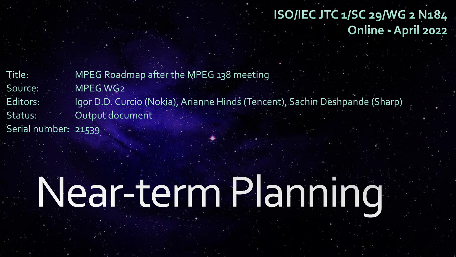ISO/IEC JTC 1/SC 29/WG 2 N184 Online - April 2022

MPEG Roadmap after the MPEG 138 meeting Title: MPEG WG2 Source: Igor D.D. Curcio (Nokia), Arianne Hinds (Tencent), Sachin Deshpande (Sharp) Editors: Output document Status: Serial number: 21539

## Near-term Planning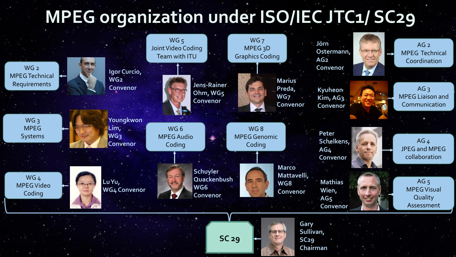## **MPEG organization under ISO/IEC JTC1/ SC29**



**SC 29**

**Chairman**